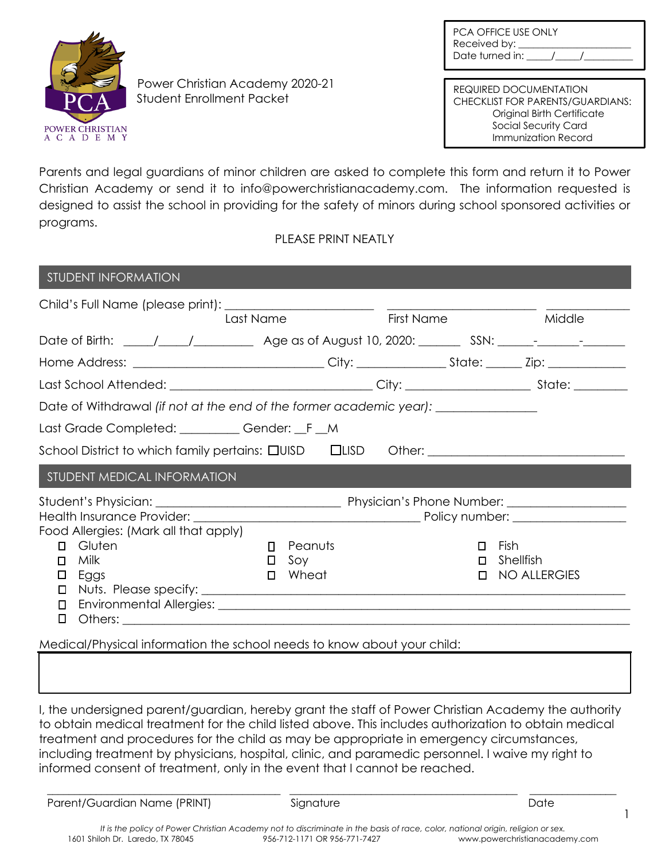| <b>PCA OFFICE USE ONLY</b> |
|----------------------------|
| Received by:               |
| Date turned in:            |



Power Christian Academy 2020-21 Student Enrollment Packet

REQUIRED DOCUMENTATION CHECKLIST FOR PARENTS/GUARDIANS: Original Birth Certificate Social Security Card Immunization Record

Parents and legal guardians of minor children are asked to complete this form and return it to Power Christian Academy or send it to info@powerchristianacademy.com. The information requested is designed to assist the school in providing for the safety of minors during school sponsored activities or programs.

PLEASE PRINT NEATLY

| <b>STUDENT INFORMATION</b>                                                       |         |            |                     |  |  |  |
|----------------------------------------------------------------------------------|---------|------------|---------------------|--|--|--|
|                                                                                  |         |            |                     |  |  |  |
| Last Name                                                                        |         | First Name | Middle              |  |  |  |
|                                                                                  |         |            |                     |  |  |  |
|                                                                                  |         |            |                     |  |  |  |
|                                                                                  |         |            |                     |  |  |  |
| Date of Withdrawal (if not at the end of the former academic year): ____________ |         |            |                     |  |  |  |
| Last Grade Completed: _________ Gender: _F _M                                    |         |            |                     |  |  |  |
| School District to which family pertains: $\square$ UISD $\square$ LISD          |         |            |                     |  |  |  |
| STUDENT MEDICAL INFORMATION                                                      |         |            |                     |  |  |  |
|                                                                                  |         |            |                     |  |  |  |
|                                                                                  |         |            |                     |  |  |  |
| Food Allergies: (Mark all that apply)                                            |         |            |                     |  |  |  |
| Gluten<br>п<br>$\Box$                                                            | Peanuts | $\Box$     | Fish                |  |  |  |
| Milk<br>0<br>п                                                                   | Soy     | $\Box$     | Shellfish           |  |  |  |
| Eggs<br>$\Box$<br>□                                                              | Wheat   | п          | <b>NO ALLERGIES</b> |  |  |  |
| □                                                                                |         |            |                     |  |  |  |
| П                                                                                |         |            |                     |  |  |  |
| O                                                                                |         |            |                     |  |  |  |

Medical/Physical information the school needs to know about your child:

I, the undersigned parent/guardian, hereby grant the staff of Power Christian Academy the authority to obtain medical treatment for the child listed above. This includes authorization to obtain medical treatment and procedures for the child as may be appropriate in emergency circumstances, including treatment by physicians, hospital, clinic, and paramedic personnel. I waive my right to informed consent of treatment, only in the event that I cannot be reached.

Parent/Guardian Name (PRINT) Signature Signature Date

\_\_\_\_\_\_\_\_\_\_\_\_\_\_\_\_\_\_\_\_\_\_\_\_\_\_\_\_\_\_\_\_\_\_\_\_\_\_\_\_\_\_\_ \_\_\_\_\_\_\_\_\_\_\_\_\_\_\_\_\_\_\_\_\_\_\_\_\_\_\_\_\_\_\_\_\_\_\_\_\_\_\_\_\_\_ \_\_\_\_\_\_\_\_\_\_\_\_\_\_\_\_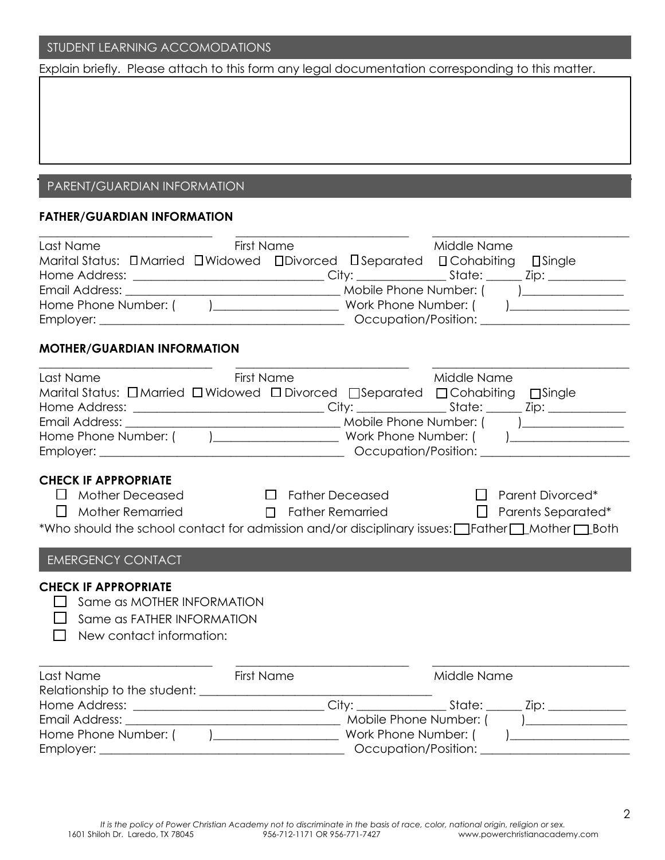## STUDENT LEARNING ACCOMODATIONS

Explain briefly. Please attach to this form any legal documentation corresponding to this matter.

# PARENT/GUARDIAN INFORMATION

## **FATHER/GUARDIAN INFORMATION**

| Last Name                                                                                                                                                                                    | <b>First Name</b>                       | Middle Name                                                        |  |  |  |  |  |
|----------------------------------------------------------------------------------------------------------------------------------------------------------------------------------------------|-----------------------------------------|--------------------------------------------------------------------|--|--|--|--|--|
| Marital Status: DMarried DWidowed DDivorced DSeparated DCohabiting DSingle                                                                                                                   |                                         |                                                                    |  |  |  |  |  |
|                                                                                                                                                                                              |                                         |                                                                    |  |  |  |  |  |
|                                                                                                                                                                                              |                                         |                                                                    |  |  |  |  |  |
|                                                                                                                                                                                              |                                         |                                                                    |  |  |  |  |  |
|                                                                                                                                                                                              |                                         |                                                                    |  |  |  |  |  |
| <b>MOTHER/GUARDIAN INFORMATION</b>                                                                                                                                                           |                                         |                                                                    |  |  |  |  |  |
| Last Name                                                                                                                                                                                    | <b>First Name</b>                       | Middle Name                                                        |  |  |  |  |  |
| Marital Status: □ Married □ Widowed □ Divorced □ Separated □ Cohabiting □ Single                                                                                                             |                                         |                                                                    |  |  |  |  |  |
|                                                                                                                                                                                              |                                         |                                                                    |  |  |  |  |  |
|                                                                                                                                                                                              |                                         |                                                                    |  |  |  |  |  |
|                                                                                                                                                                                              |                                         |                                                                    |  |  |  |  |  |
|                                                                                                                                                                                              |                                         |                                                                    |  |  |  |  |  |
| $\Box$ Mother Deceased<br>$\Box$<br><b>Mother Remarried</b><br>*Who should the school contact for admission and/or disciplinary issues: I Father I Mother 1 Both<br><b>EMERGENCY CONTACT</b> | <b>Solution Section</b> Father Deceased | $\Box$ Parent Divorced*<br>□ Father Remarried □ Parents Separated* |  |  |  |  |  |
| <b>CHECK IF APPROPRIATE</b><br>Same as MOTHER INFORMATION<br>Same as FATHER INFORMATION<br>New contact information:                                                                          |                                         |                                                                    |  |  |  |  |  |
| Last Name                                                                                                                                                                                    | <b>First Name</b>                       | Middle Name                                                        |  |  |  |  |  |
|                                                                                                                                                                                              |                                         |                                                                    |  |  |  |  |  |
|                                                                                                                                                                                              |                                         |                                                                    |  |  |  |  |  |
|                                                                                                                                                                                              |                                         |                                                                    |  |  |  |  |  |
|                                                                                                                                                                                              |                                         |                                                                    |  |  |  |  |  |
|                                                                                                                                                                                              |                                         |                                                                    |  |  |  |  |  |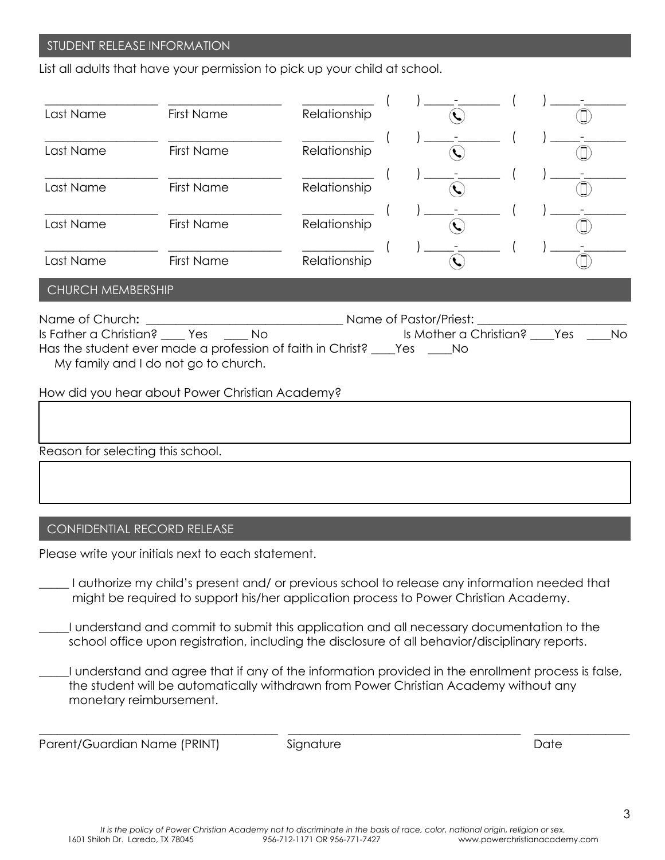## STUDENT RELEASE INFORMATION

List all adults that have your permission to pick up your child at school.

| Last Name                                       | <b>First Name</b>                                                                                                                                                | Relationship                                                                                                         |                                 |           |  |  |
|-------------------------------------------------|------------------------------------------------------------------------------------------------------------------------------------------------------------------|----------------------------------------------------------------------------------------------------------------------|---------------------------------|-----------|--|--|
| Last Name                                       | <b>First Name</b>                                                                                                                                                | Relationship                                                                                                         |                                 |           |  |  |
| Last Name                                       | <b>First Name</b>                                                                                                                                                | Relationship                                                                                                         | $\mathcal{L}$                   |           |  |  |
| Last Name                                       | <b>First Name</b>                                                                                                                                                | Relationship                                                                                                         |                                 |           |  |  |
| Last Name                                       | <b>First Name</b>                                                                                                                                                | Relationship                                                                                                         |                                 |           |  |  |
| CHURCH MEMBERSHIP                               |                                                                                                                                                                  |                                                                                                                      |                                 |           |  |  |
| Name of Church:                                 | Is Father a Christian? _____ Yes ______ No<br>Has the student ever made a profession of faith in Christ? ____Yes _____No<br>My family and I do not go to church. | <b>Solution State Service State State State State State State State State State State State State State State St</b> | Is Mother a Christian? ____ Yes | <b>No</b> |  |  |
| How did you hear about Power Christian Academy? |                                                                                                                                                                  |                                                                                                                      |                                 |           |  |  |
|                                                 |                                                                                                                                                                  |                                                                                                                      |                                 |           |  |  |
| Reason for selecting this school.               |                                                                                                                                                                  |                                                                                                                      |                                 |           |  |  |
|                                                 |                                                                                                                                                                  |                                                                                                                      |                                 |           |  |  |

## CONFIDENTIAL RECORD RELEASE

Please write your initials next to each statement.

\_\_\_\_\_ I authorize my child's present and/ or previous school to release any information needed that might be required to support his/her application process to Power Christian Academy.

- \_\_\_\_\_I understand and commit to submit this application and all necessary documentation to the school office upon registration, including the disclosure of all behavior/disciplinary reports.
- \_\_\_\_\_I understand and agree that if any of the information provided in the enrollment process is false, the student will be automatically withdrawn from Power Christian Academy without any monetary reimbursement.

**\_\_\_\_\_\_\_\_\_\_\_\_\_\_\_\_\_\_\_\_\_\_\_\_\_\_\_\_\_\_\_\_\_\_\_\_\_\_\_\_ \_\_\_\_\_\_\_\_\_\_\_\_\_\_\_\_\_\_\_\_\_\_\_\_\_\_\_\_\_\_\_\_\_\_\_\_\_\_\_ \_\_\_\_\_\_\_\_\_\_\_\_\_\_\_\_** 

Parent/Guardian Name (PRINT) Signature Signature Date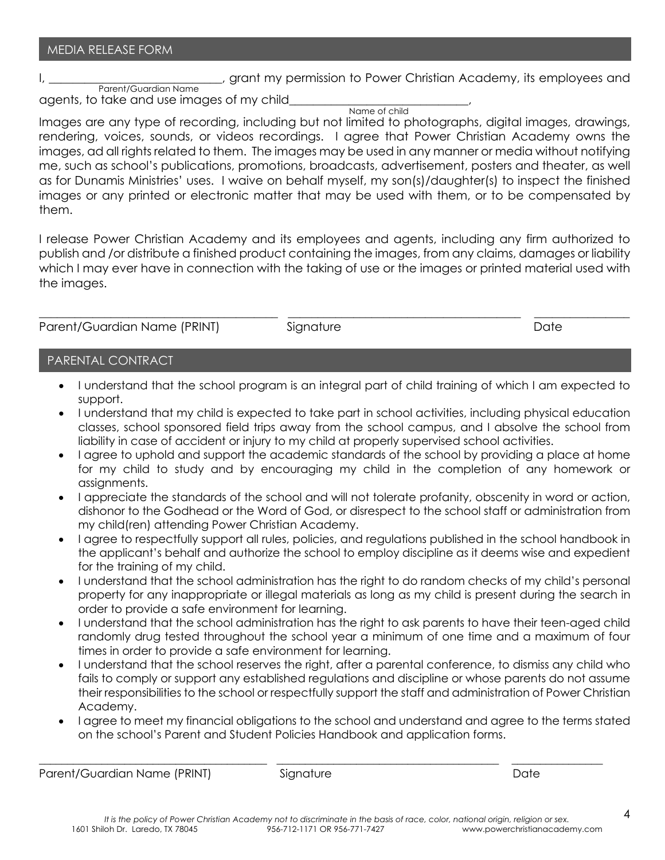I, the contract of the setting of the setting of the setting of the setting of the setting of the setting of the setting of the setting of the setting of the setting of the setting of the setting of the setting of the sett Parent/Guardian Name

agents, to take and use images of my child

Name of child

Images are any type of recording, including but not limited to photographs, digital images, drawings, rendering, voices, sounds, or videos recordings. I agree that Power Christian Academy owns the images, ad all rights related to them. The images may be used in any manner or media without notifying me, such as school's publications, promotions, broadcasts, advertisement, posters and theater, as well as for Dunamis Ministries' uses. I waive on behalf myself, my son(s)/daughter(s) to inspect the finished images or any printed or electronic matter that may be used with them, or to be compensated by them.

I release Power Christian Academy and its employees and agents, including any firm authorized to publish and /or distribute a finished product containing the images, from any claims, damages or liability which I may ever have in connection with the taking of use or the images or printed material used with the images.

**\_\_\_\_\_\_\_\_\_\_\_\_\_\_\_\_\_\_\_\_\_\_\_\_\_\_\_\_\_\_\_\_\_\_\_\_\_\_\_\_ \_\_\_\_\_\_\_\_\_\_\_\_\_\_\_\_\_\_\_\_\_\_\_\_\_\_\_\_\_\_\_\_\_\_\_\_\_\_\_ \_\_\_\_\_\_\_\_\_\_\_\_\_\_\_\_** 

Parent/Guardian Name (PRINT) Signature Date

## PARENTAL CONTRACT

- I understand that the school program is an integral part of child training of which I am expected to support.
- I understand that my child is expected to take part in school activities, including physical education classes, school sponsored field trips away from the school campus, and I absolve the school from liability in case of accident or injury to my child at properly supervised school activities.
- I agree to uphold and support the academic standards of the school by providing a place at home for my child to study and by encouraging my child in the completion of any homework or assignments.
- I appreciate the standards of the school and will not tolerate profanity, obscenity in word or action, dishonor to the Godhead or the Word of God, or disrespect to the school staff or administration from my child(ren) attending Power Christian Academy.
- I agree to respectfully support all rules, policies, and regulations published in the school handbook in the applicant's behalf and authorize the school to employ discipline as it deems wise and expedient for the training of my child.
- I understand that the school administration has the right to do random checks of my child's personal property for any inappropriate or illegal materials as long as my child is present during the search in order to provide a safe environment for learning.
- I understand that the school administration has the right to ask parents to have their teen-aged child randomly drug tested throughout the school year a minimum of one time and a maximum of four times in order to provide a safe environment for learning.
- I understand that the school reserves the right, after a parental conference, to dismiss any child who fails to comply or support any established regulations and discipline or whose parents do not assume their responsibilities to the school or respectfully support the staff and administration of Power Christian Academy.
- I agree to meet my financial obligations to the school and understand and agree to the terms stated on the school's Parent and Student Policies Handbook and application forms.

Parent/Guardian Name (PRINT) Signature Signature Date

**\_\_\_\_\_\_\_\_\_\_\_\_\_\_\_\_\_\_\_\_\_\_\_\_\_\_\_\_\_\_\_\_\_\_\_\_\_\_\_\_ \_\_\_\_\_\_\_\_\_\_\_\_\_\_\_\_\_\_\_\_\_\_\_\_\_\_\_\_\_\_\_\_\_\_\_\_\_\_\_ \_\_\_\_\_\_\_\_\_\_\_\_\_\_\_\_**